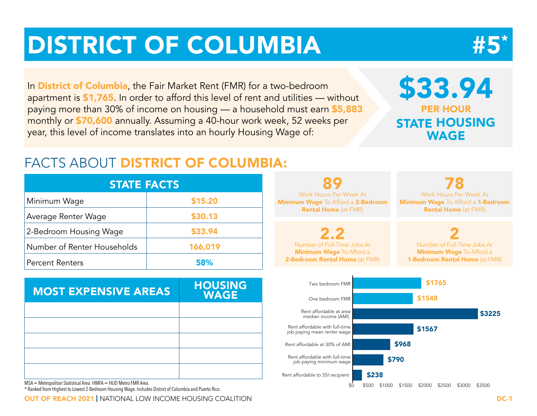# DISTRICT OF COLUMBIA



In **District of Columbia**, the Fair Market Rent (FMR) for a two-bedroom apartment is \$1,765. In order to afford this level of rent and utilities — without paying more than 30% of income on housing — a household must earn \$5,883 monthly or \$70,600 annually. Assuming a 40-hour work week, 52 weeks per year, this level of income translates into an hourly Housing Wage of:

## \$33.94 PER HOUR STATE HOUSING WAGE

### FACTS ABOUT DISTRICT OF COLUMBIA:

| <b>STATE FACTS</b>          |         |  |  |  |  |  |  |
|-----------------------------|---------|--|--|--|--|--|--|
| Minimum Wage                | \$15.20 |  |  |  |  |  |  |
| Average Renter Wage         | \$30.13 |  |  |  |  |  |  |
| 2-Bedroom Housing Wage      | \$33.94 |  |  |  |  |  |  |
| Number of Renter Households | 166,019 |  |  |  |  |  |  |
| <b>Percent Renters</b>      | 58%     |  |  |  |  |  |  |

| <b>MOST EXPENSIVE AREAS</b> | <b>HOUSING</b><br><b>WAGE</b> |
|-----------------------------|-------------------------------|
|                             |                               |
|                             |                               |
|                             |                               |
|                             |                               |
|                             |                               |

MSA = Metropolitan Statistical Area: HMFA = HUD Metro FMR Area.

\* Ranked from Highest to Lowest 2-Bedroom Housing Wage. Includes District of Columbia and Puerto Rico.

**OUT OF REACH 2021 |** NATIONAL LOW INCOME HOUSING COALITION **DEVICE AND A COMPUTER SERVICE AND REACH 2021 | DC-1** 



\$0 \$500 \$1000 \$1500 \$2000 \$2500 \$3000 \$3500